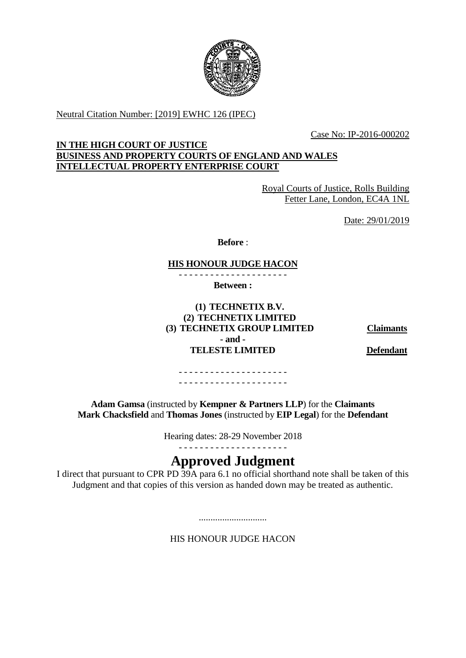

Neutral Citation Number: [2019] EWHC 126 (IPEC)

Case No: IP-2016-000202

## **IN THE HIGH COURT OF JUSTICE BUSINESS AND PROPERTY COURTS OF ENGLAND AND WALES INTELLECTUAL PROPERTY ENTERPRISE COURT**

Royal Courts of Justice, Rolls Building Fetter Lane, London, EC4A 1NL

Date: 29/01/2019

**Before** :

## **HIS HONOUR JUDGE HACON**

- - - - - - - - - - - - - - - - - - - - -

**Between :**

**(1) TECHNETIX B.V. (2) TECHNETIX LIMITED (3) TECHNETIX GROUP LIMITED Claimants - and - TELESTE LIMITED Defendant**

- - - - - - - - - - - - - - - - - - - - - - - - - - - - - - - - - - - - - - - - - -

**Adam Gamsa** (instructed by **Kempner & Partners LLP**) for the **Claimants Mark Chacksfield** and **Thomas Jones** (instructed by **EIP Legal**) for the **Defendant**

Hearing dates: 28-29 November 2018

## - - - - - - - - - - - - - - - - - - - - -

# **Approved Judgment**

I direct that pursuant to CPR PD  $\overline{39A}$  para 6.1 no official shorthand note shall be taken of this Judgment and that copies of this version as handed down may be treated as authentic.

HIS HONOUR JUDGE HACON

.............................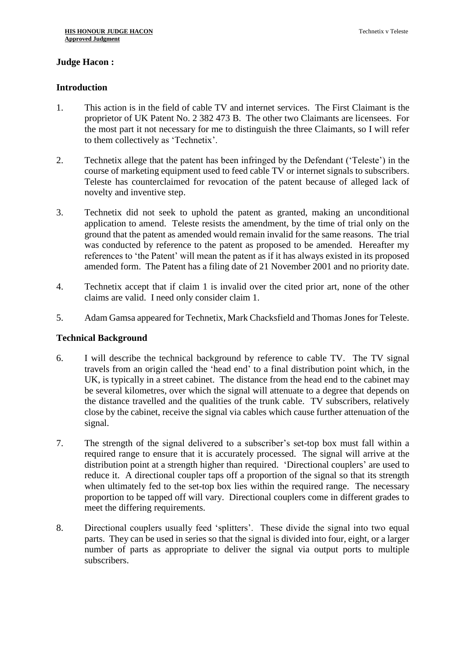## **Judge Hacon :**

## **Introduction**

- 1. This action is in the field of cable TV and internet services. The First Claimant is the proprietor of UK Patent No. 2 382 473 B. The other two Claimants are licensees. For the most part it not necessary for me to distinguish the three Claimants, so I will refer to them collectively as 'Technetix'.
- 2. Technetix allege that the patent has been infringed by the Defendant ('Teleste') in the course of marketing equipment used to feed cable TV or internet signals to subscribers. Teleste has counterclaimed for revocation of the patent because of alleged lack of novelty and inventive step.
- 3. Technetix did not seek to uphold the patent as granted, making an unconditional application to amend. Teleste resists the amendment, by the time of trial only on the ground that the patent as amended would remain invalid for the same reasons. The trial was conducted by reference to the patent as proposed to be amended. Hereafter my references to 'the Patent' will mean the patent as if it has always existed in its proposed amended form. The Patent has a filing date of 21 November 2001 and no priority date.
- 4. Technetix accept that if claim 1 is invalid over the cited prior art, none of the other claims are valid. I need only consider claim 1.
- 5. Adam Gamsa appeared for Technetix, Mark Chacksfield and Thomas Jones for Teleste.

## **Technical Background**

- 6. I will describe the technical background by reference to cable TV. The TV signal travels from an origin called the 'head end' to a final distribution point which, in the UK, is typically in a street cabinet. The distance from the head end to the cabinet may be several kilometres, over which the signal will attenuate to a degree that depends on the distance travelled and the qualities of the trunk cable. TV subscribers, relatively close by the cabinet, receive the signal via cables which cause further attenuation of the signal.
- 7. The strength of the signal delivered to a subscriber's set-top box must fall within a required range to ensure that it is accurately processed. The signal will arrive at the distribution point at a strength higher than required. 'Directional couplers' are used to reduce it. A directional coupler taps off a proportion of the signal so that its strength when ultimately fed to the set-top box lies within the required range. The necessary proportion to be tapped off will vary. Directional couplers come in different grades to meet the differing requirements.
- 8. Directional couplers usually feed 'splitters'. These divide the signal into two equal parts. They can be used in series so that the signal is divided into four, eight, or a larger number of parts as appropriate to deliver the signal via output ports to multiple subscribers.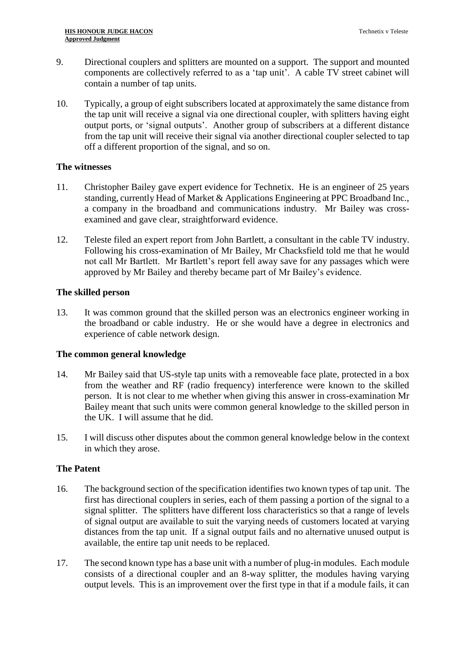- 9. Directional couplers and splitters are mounted on a support. The support and mounted components are collectively referred to as a 'tap unit'. A cable TV street cabinet will contain a number of tap units.
- 10. Typically, a group of eight subscribers located at approximately the same distance from the tap unit will receive a signal via one directional coupler, with splitters having eight output ports, or 'signal outputs'. Another group of subscribers at a different distance from the tap unit will receive their signal via another directional coupler selected to tap off a different proportion of the signal, and so on.

## **The witnesses**

- 11. Christopher Bailey gave expert evidence for Technetix. He is an engineer of 25 years standing, currently Head of Market & Applications Engineering at PPC Broadband Inc., a company in the broadband and communications industry. Mr Bailey was crossexamined and gave clear, straightforward evidence.
- 12. Teleste filed an expert report from John Bartlett, a consultant in the cable TV industry. Following his cross-examination of Mr Bailey, Mr Chacksfield told me that he would not call Mr Bartlett. Mr Bartlett's report fell away save for any passages which were approved by Mr Bailey and thereby became part of Mr Bailey's evidence.

## **The skilled person**

13. It was common ground that the skilled person was an electronics engineer working in the broadband or cable industry. He or she would have a degree in electronics and experience of cable network design.

## **The common general knowledge**

- 14. Mr Bailey said that US-style tap units with a removeable face plate, protected in a box from the weather and RF (radio frequency) interference were known to the skilled person. It is not clear to me whether when giving this answer in cross-examination Mr Bailey meant that such units were common general knowledge to the skilled person in the UK. I will assume that he did.
- 15. I will discuss other disputes about the common general knowledge below in the context in which they arose.

## **The Patent**

- 16. The background section of the specification identifies two known types of tap unit. The first has directional couplers in series, each of them passing a portion of the signal to a signal splitter. The splitters have different loss characteristics so that a range of levels of signal output are available to suit the varying needs of customers located at varying distances from the tap unit. If a signal output fails and no alternative unused output is available, the entire tap unit needs to be replaced.
- 17. The second known type has a base unit with a number of plug-in modules. Each module consists of a directional coupler and an 8-way splitter, the modules having varying output levels. This is an improvement over the first type in that if a module fails, it can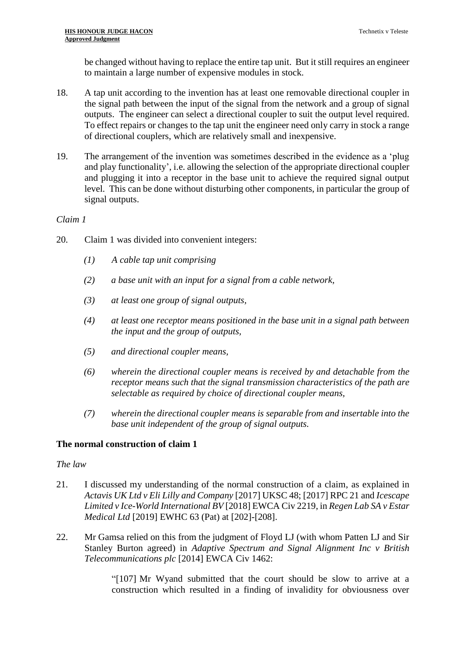be changed without having to replace the entire tap unit. But it still requires an engineer to maintain a large number of expensive modules in stock.

- 18. A tap unit according to the invention has at least one removable directional coupler in the signal path between the input of the signal from the network and a group of signal outputs. The engineer can select a directional coupler to suit the output level required. To effect repairs or changes to the tap unit the engineer need only carry in stock a range of directional couplers, which are relatively small and inexpensive.
- 19. The arrangement of the invention was sometimes described in the evidence as a 'plug and play functionality', i.e. allowing the selection of the appropriate directional coupler and plugging it into a receptor in the base unit to achieve the required signal output level. This can be done without disturbing other components, in particular the group of signal outputs.

## *Claim 1*

- 20. Claim 1 was divided into convenient integers:
	- *(1) A cable tap unit comprising*
	- *(2) a base unit with an input for a signal from a cable network,*
	- *(3) at least one group of signal outputs,*
	- *(4) at least one receptor means positioned in the base unit in a signal path between the input and the group of outputs,*
	- *(5) and directional coupler means,*
	- *(6) wherein the directional coupler means is received by and detachable from the receptor means such that the signal transmission characteristics of the path are selectable as required by choice of directional coupler means,*
	- *(7) wherein the directional coupler means is separable from and insertable into the base unit independent of the group of signal outputs.*

## **The normal construction of claim 1**

## *The law*

- 21. I discussed my understanding of the normal construction of a claim, as explained in *Actavis UK Ltd v Eli Lilly and Company* [2017] UKSC 48; [2017] RPC 21 and *Icescape Limited v Ice-World International BV* [2018] EWCA Civ 2219, in *Regen Lab SA v Estar Medical Ltd* [2019] EWHC 63 (Pat) at [202]-[208].
- 22. Mr Gamsa relied on this from the judgment of Floyd LJ (with whom Patten LJ and Sir Stanley Burton agreed) in *Adaptive Spectrum and Signal Alignment Inc v British Telecommunications plc* [2014] EWCA Civ 1462:

"[107] Mr Wyand submitted that the court should be slow to arrive at a construction which resulted in a finding of invalidity for obviousness over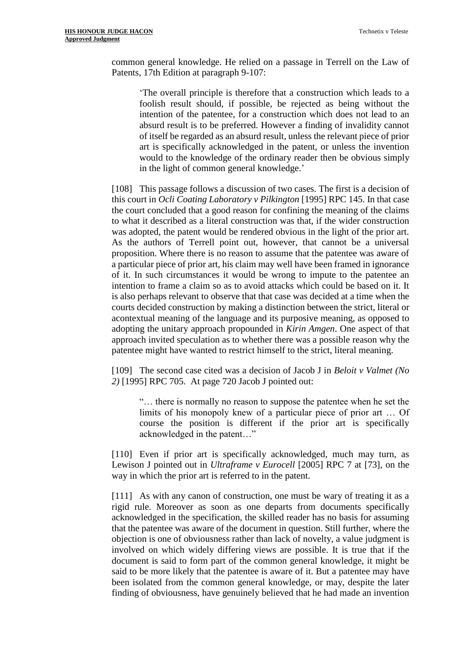common general knowledge. He relied on a passage in Terrell on the Law of Patents, 17th Edition at paragraph 9-107:

'The overall principle is therefore that a construction which leads to a foolish result should, if possible, be rejected as being without the intention of the patentee, for a construction which does not lead to an absurd result is to be preferred. However a finding of invalidity cannot of itself be regarded as an absurd result, unless the relevant piece of prior art is specifically acknowledged in the patent, or unless the invention would to the knowledge of the ordinary reader then be obvious simply in the light of common general knowledge.'

[108] This passage follows a discussion of two cases. The first is a decision of this court in *[Ocli Coating Laboratory v Pilkington](https://uk.practicallaw.thomsonreuters.com/Document/I144B12A0E42811DA8FC2A0F0355337E9/View/FullText.html?originationContext=document&transitionType=DocumentItem&contextData=(sc.Search))* [1995] RPC 145. In that case the court concluded that a good reason for confining the meaning of the claims to what it described as a literal construction was that, if the wider construction was adopted, the patent would be rendered obvious in the light of the prior art. As the authors of Terrell point out, however, that cannot be a universal proposition. Where there is no reason to assume that the patentee was aware of a particular piece of prior art, his claim may well have been framed in ignorance of it. In such circumstances it would be wrong to impute to the patentee an intention to frame a claim so as to avoid attacks which could be based on it. It is also perhaps relevant to observe that that case was decided at a time when the courts decided construction by making a distinction between the strict, literal or acontextual meaning of the language and its purposive meaning, as opposed to adopting the unitary approach propounded in *Kirin Amgen*. One aspect of that approach invited speculation as to whether there was a possible reason why the patentee might have wanted to restrict himself to the strict, literal meaning.

[109] The second case cited was a decision of Jacob J in *[Beloit v Valmet \(No](https://uk.practicallaw.thomsonreuters.com/Document/I73707BE1E42711DA8FC2A0F0355337E9/View/FullText.html?originationContext=document&transitionType=DocumentItem&contextData=(sc.Search))  2)* [\[1995\] RPC 705. A](https://uk.practicallaw.thomsonreuters.com/Document/I73707BE1E42711DA8FC2A0F0355337E9/View/FullText.html?originationContext=document&transitionType=DocumentItem&contextData=(sc.Search))t page 720 Jacob J pointed out:

"… there is normally no reason to suppose the patentee when he set the limits of his monopoly knew of a particular piece of prior art … Of course the position is different if the prior art is specifically acknowledged in the patent…"

[110] Even if prior art is specifically acknowledged, much may turn, as Lewison J pointed out in *[Ultraframe v Eurocell](https://uk.practicallaw.thomsonreuters.com/Document/IDF8E9860E42811DA8FC2A0F0355337E9/View/FullText.html?originationContext=document&transitionType=DocumentItem&contextData=(sc.Search))* [2005] RPC 7 at [73], on the way in which the prior art is referred to in the patent.

[111] As with any canon of construction, one must be wary of treating it as a rigid rule. Moreover as soon as one departs from documents specifically acknowledged in the specification, the skilled reader has no basis for assuming that the patentee was aware of the document in question. Still further, where the objection is one of obviousness rather than lack of novelty, a value judgment is involved on which widely differing views are possible. It is true that if the document is said to form part of the common general knowledge, it might be said to be more likely that the patentee is aware of it. But a patentee may have been isolated from the common general knowledge, or may, despite the later finding of obviousness, have genuinely believed that he had made an invention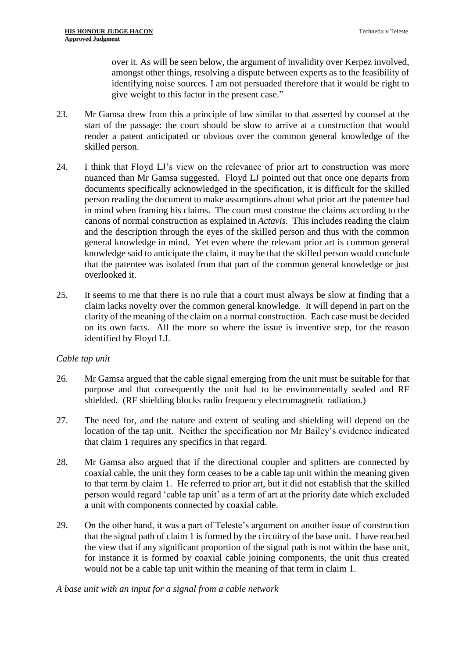over it. As will be seen below, the argument of invalidity over Kerpez involved, amongst other things, resolving a dispute between experts as to the feasibility of identifying noise sources. I am not persuaded therefore that it would be right to give weight to this factor in the present case."

- 23. Mr Gamsa drew from this a principle of law similar to that asserted by counsel at the start of the passage: the court should be slow to arrive at a construction that would render a patent anticipated or obvious over the common general knowledge of the skilled person.
- 24. I think that Floyd LJ's view on the relevance of prior art to construction was more nuanced than Mr Gamsa suggested. Floyd LJ pointed out that once one departs from documents specifically acknowledged in the specification, it is difficult for the skilled person reading the document to make assumptions about what prior art the patentee had in mind when framing his claims. The court must construe the claims according to the canons of normal construction as explained in *Actavis*. This includes reading the claim and the description through the eyes of the skilled person and thus with the common general knowledge in mind. Yet even where the relevant prior art is common general knowledge said to anticipate the claim, it may be that the skilled person would conclude that the patentee was isolated from that part of the common general knowledge or just overlooked it.
- 25. It seems to me that there is no rule that a court must always be slow at finding that a claim lacks novelty over the common general knowledge. It will depend in part on the clarity of the meaning of the claim on a normal construction. Each case must be decided on its own facts. All the more so where the issue is inventive step, for the reason identified by Floyd LJ.

## *Cable tap unit*

- 26. Mr Gamsa argued that the cable signal emerging from the unit must be suitable for that purpose and that consequently the unit had to be environmentally sealed and RF shielded. (RF shielding blocks radio frequency electromagnetic radiation.)
- 27. The need for, and the nature and extent of sealing and shielding will depend on the location of the tap unit. Neither the specification nor Mr Bailey's evidence indicated that claim 1 requires any specifics in that regard.
- 28. Mr Gamsa also argued that if the directional coupler and splitters are connected by coaxial cable, the unit they form ceases to be a cable tap unit within the meaning given to that term by claim 1. He referred to prior art, but it did not establish that the skilled person would regard 'cable tap unit' as a term of art at the priority date which excluded a unit with components connected by coaxial cable.
- 29. On the other hand, it was a part of Teleste's argument on another issue of construction that the signal path of claim 1 is formed by the circuitry of the base unit. I have reached the view that if any significant proportion of the signal path is not within the base unit, for instance it is formed by coaxial cable joining components, the unit thus created would not be a cable tap unit within the meaning of that term in claim 1.

## *A base unit with an input for a signal from a cable network*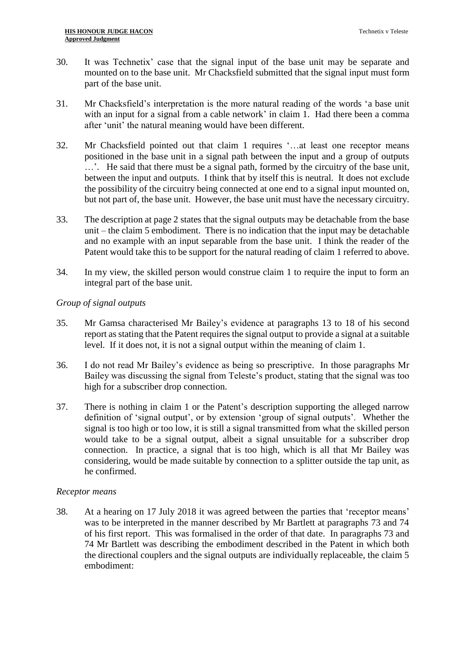- 30. It was Technetix' case that the signal input of the base unit may be separate and mounted on to the base unit. Mr Chacksfield submitted that the signal input must form part of the base unit.
- 31. Mr Chacksfield's interpretation is the more natural reading of the words 'a base unit with an input for a signal from a cable network' in claim 1. Had there been a comma after 'unit' the natural meaning would have been different.
- 32. Mr Chacksfield pointed out that claim 1 requires '…at least one receptor means positioned in the base unit in a signal path between the input and a group of outputs …'. He said that there must be a signal path, formed by the circuitry of the base unit, between the input and outputs. I think that by itself this is neutral. It does not exclude the possibility of the circuitry being connected at one end to a signal input mounted on, but not part of, the base unit. However, the base unit must have the necessary circuitry.
- 33. The description at page 2 states that the signal outputs may be detachable from the base unit – the claim 5 embodiment. There is no indication that the input may be detachable and no example with an input separable from the base unit. I think the reader of the Patent would take this to be support for the natural reading of claim 1 referred to above.
- 34. In my view, the skilled person would construe claim 1 to require the input to form an integral part of the base unit.

## *Group of signal outputs*

- 35. Mr Gamsa characterised Mr Bailey's evidence at paragraphs 13 to 18 of his second report as stating that the Patent requires the signal output to provide a signal at a suitable level. If it does not, it is not a signal output within the meaning of claim 1.
- 36. I do not read Mr Bailey's evidence as being so prescriptive. In those paragraphs Mr Bailey was discussing the signal from Teleste's product, stating that the signal was too high for a subscriber drop connection.
- 37. There is nothing in claim 1 or the Patent's description supporting the alleged narrow definition of 'signal output', or by extension 'group of signal outputs'. Whether the signal is too high or too low, it is still a signal transmitted from what the skilled person would take to be a signal output, albeit a signal unsuitable for a subscriber drop connection. In practice, a signal that is too high, which is all that Mr Bailey was considering, would be made suitable by connection to a splitter outside the tap unit, as he confirmed.

## *Receptor means*

38. At a hearing on 17 July 2018 it was agreed between the parties that 'receptor means' was to be interpreted in the manner described by Mr Bartlett at paragraphs 73 and 74 of his first report. This was formalised in the order of that date. In paragraphs 73 and 74 Mr Bartlett was describing the embodiment described in the Patent in which both the directional couplers and the signal outputs are individually replaceable, the claim 5 embodiment: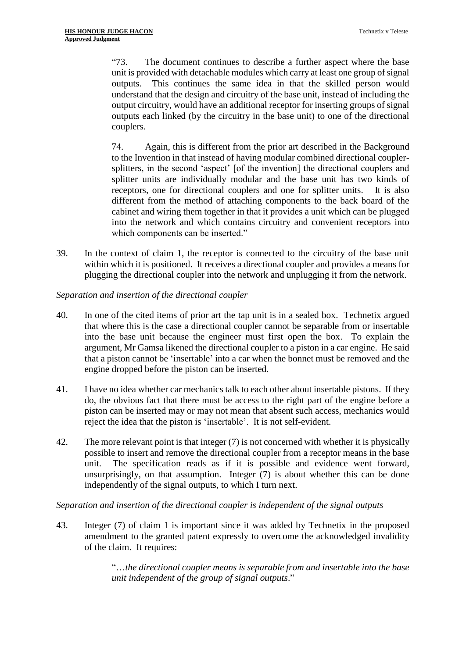"73. The document continues to describe a further aspect where the base unit is provided with detachable modules which carry at least one group of signal outputs. This continues the same idea in that the skilled person would understand that the design and circuitry of the base unit, instead of including the output circuitry, would have an additional receptor for inserting groups of signal outputs each linked (by the circuitry in the base unit) to one of the directional couplers.

74. Again, this is different from the prior art described in the Background to the Invention in that instead of having modular combined directional couplersplitters, in the second 'aspect' [of the invention] the directional couplers and splitter units are individually modular and the base unit has two kinds of receptors, one for directional couplers and one for splitter units. It is also different from the method of attaching components to the back board of the cabinet and wiring them together in that it provides a unit which can be plugged into the network and which contains circuitry and convenient receptors into which components can be inserted."

39. In the context of claim 1, the receptor is connected to the circuitry of the base unit within which it is positioned. It receives a directional coupler and provides a means for plugging the directional coupler into the network and unplugging it from the network.

## *Separation and insertion of the directional coupler*

- 40. In one of the cited items of prior art the tap unit is in a sealed box. Technetix argued that where this is the case a directional coupler cannot be separable from or insertable into the base unit because the engineer must first open the box. To explain the argument, Mr Gamsa likened the directional coupler to a piston in a car engine. He said that a piston cannot be 'insertable' into a car when the bonnet must be removed and the engine dropped before the piston can be inserted.
- 41. I have no idea whether car mechanics talk to each other about insertable pistons. If they do, the obvious fact that there must be access to the right part of the engine before a piston can be inserted may or may not mean that absent such access, mechanics would reject the idea that the piston is 'insertable'. It is not self-evident.
- 42. The more relevant point is that integer (7) is not concerned with whether it is physically possible to insert and remove the directional coupler from a receptor means in the base unit. The specification reads as if it is possible and evidence went forward, unsurprisingly, on that assumption. Integer (7) is about whether this can be done independently of the signal outputs, to which I turn next.

## *Separation and insertion of the directional coupler is independent of the signal outputs*

43. Integer (7) of claim 1 is important since it was added by Technetix in the proposed amendment to the granted patent expressly to overcome the acknowledged invalidity of the claim. It requires:

> "…*the directional coupler means is separable from and insertable into the base unit independent of the group of signal outputs*."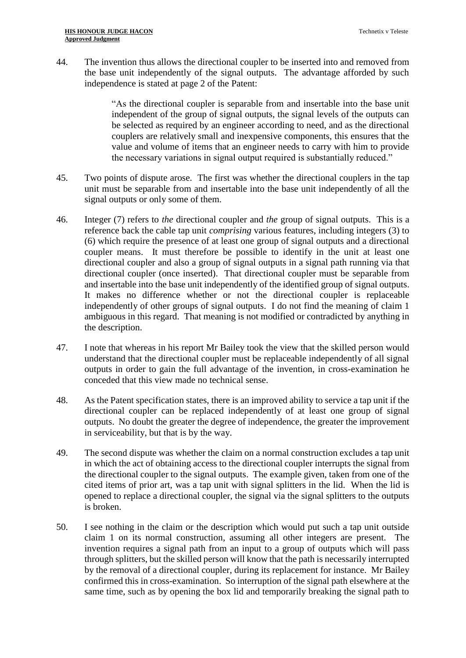44. The invention thus allows the directional coupler to be inserted into and removed from the base unit independently of the signal outputs. The advantage afforded by such independence is stated at page 2 of the Patent:

> "As the directional coupler is separable from and insertable into the base unit independent of the group of signal outputs, the signal levels of the outputs can be selected as required by an engineer according to need, and as the directional couplers are relatively small and inexpensive components, this ensures that the value and volume of items that an engineer needs to carry with him to provide the necessary variations in signal output required is substantially reduced."

- 45. Two points of dispute arose. The first was whether the directional couplers in the tap unit must be separable from and insertable into the base unit independently of all the signal outputs or only some of them.
- 46. Integer (7) refers to *the* directional coupler and *the* group of signal outputs. This is a reference back the cable tap unit *comprising* various features, including integers (3) to (6) which require the presence of at least one group of signal outputs and a directional coupler means. It must therefore be possible to identify in the unit at least one directional coupler and also a group of signal outputs in a signal path running via that directional coupler (once inserted). That directional coupler must be separable from and insertable into the base unit independently of the identified group of signal outputs. It makes no difference whether or not the directional coupler is replaceable independently of other groups of signal outputs. I do not find the meaning of claim 1 ambiguous in this regard. That meaning is not modified or contradicted by anything in the description.
- 47. I note that whereas in his report Mr Bailey took the view that the skilled person would understand that the directional coupler must be replaceable independently of all signal outputs in order to gain the full advantage of the invention, in cross-examination he conceded that this view made no technical sense.
- 48. As the Patent specification states, there is an improved ability to service a tap unit if the directional coupler can be replaced independently of at least one group of signal outputs. No doubt the greater the degree of independence, the greater the improvement in serviceability, but that is by the way.
- 49. The second dispute was whether the claim on a normal construction excludes a tap unit in which the act of obtaining access to the directional coupler interrupts the signal from the directional coupler to the signal outputs. The example given, taken from one of the cited items of prior art, was a tap unit with signal splitters in the lid. When the lid is opened to replace a directional coupler, the signal via the signal splitters to the outputs is broken.
- 50. I see nothing in the claim or the description which would put such a tap unit outside claim 1 on its normal construction, assuming all other integers are present. The invention requires a signal path from an input to a group of outputs which will pass through splitters, but the skilled person will know that the path is necessarily interrupted by the removal of a directional coupler, during its replacement for instance. Mr Bailey confirmed this in cross-examination. So interruption of the signal path elsewhere at the same time, such as by opening the box lid and temporarily breaking the signal path to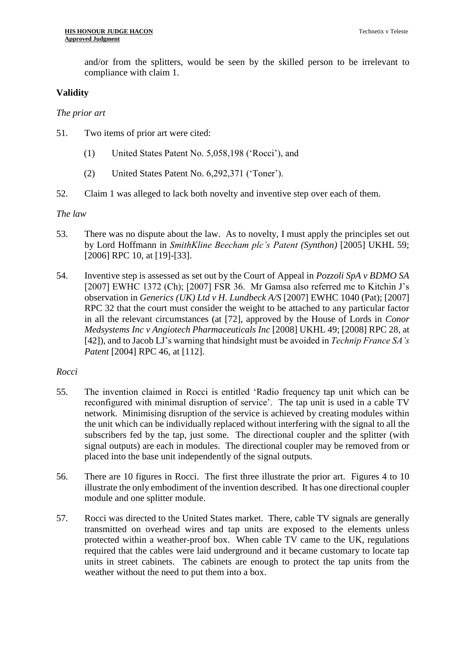and/or from the splitters, would be seen by the skilled person to be irrelevant to compliance with claim 1.

## **Validity**

*The prior art*

- 51. Two items of prior art were cited:
	- (1) United States Patent No. 5,058,198 ('Rocci'), and
	- (2) United States Patent No. 6,292,371 ('Toner').
- 52. Claim 1 was alleged to lack both novelty and inventive step over each of them.

#### *The law*

- 53. There was no dispute about the law. As to novelty, I must apply the principles set out by Lord Hoffmann in *SmithKline Beecham plc's Patent (Synthon)* [2005] UKHL 59; [2006] RPC 10, at [19]-[33].
- 54. Inventive step is assessed as set out by the Court of Appeal in *Pozzoli SpA v BDMO SA*  [2007] EWHC 1372 (Ch); [2007] FSR 36. Mr Gamsa also referred me to Kitchin J's observation in *Generics (UK) Ltd v H. Lundbeck A/S* [2007] EWHC 1040 (Pat); [2007] RPC 32 that the court must consider the weight to be attached to any particular factor in all the relevant circumstances (at [72], approved by the House of Lords in *Conor Medsystems Inc v Angiotech Pharmaceuticals Inc* [2008] UKHL 49; [2008] RPC 28, at [42]), and to Jacob LJ's warning that hindsight must be avoided in *Technip France SA's Patent* [2004] RPC 46, at [112].

## *Rocci*

- 55. The invention claimed in Rocci is entitled 'Radio frequency tap unit which can be reconfigured with minimal disruption of service'. The tap unit is used in a cable TV network. Minimising disruption of the service is achieved by creating modules within the unit which can be individually replaced without interfering with the signal to all the subscribers fed by the tap, just some. The directional coupler and the splitter (with signal outputs) are each in modules. The directional coupler may be removed from or placed into the base unit independently of the signal outputs.
- 56. There are 10 figures in Rocci. The first three illustrate the prior art. Figures 4 to 10 illustrate the only embodiment of the invention described. It has one directional coupler module and one splitter module.
- 57. Rocci was directed to the United States market. There, cable TV signals are generally transmitted on overhead wires and tap units are exposed to the elements unless protected within a weather-proof box. When cable TV came to the UK, regulations required that the cables were laid underground and it became customary to locate tap units in street cabinets. The cabinets are enough to protect the tap units from the weather without the need to put them into a box.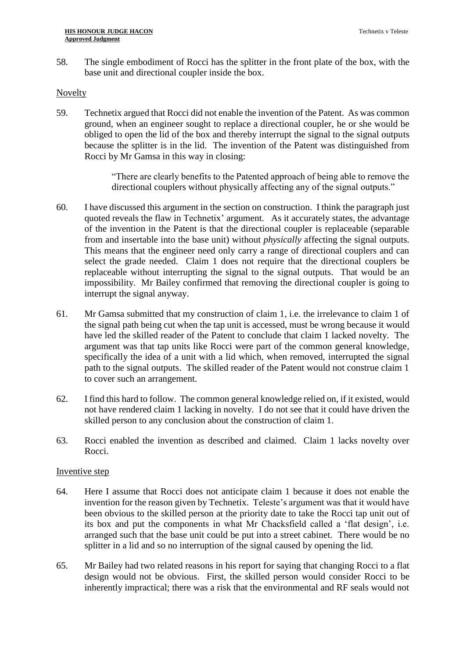58. The single embodiment of Rocci has the splitter in the front plate of the box, with the base unit and directional coupler inside the box.

#### Novelty

59. Technetix argued that Rocci did not enable the invention of the Patent. As was common ground, when an engineer sought to replace a directional coupler, he or she would be obliged to open the lid of the box and thereby interrupt the signal to the signal outputs because the splitter is in the lid. The invention of the Patent was distinguished from Rocci by Mr Gamsa in this way in closing:

> "There are clearly benefits to the Patented approach of being able to remove the directional couplers without physically affecting any of the signal outputs."

- 60. I have discussed this argument in the section on construction. I think the paragraph just quoted reveals the flaw in Technetix' argument. As it accurately states, the advantage of the invention in the Patent is that the directional coupler is replaceable (separable from and insertable into the base unit) without *physically* affecting the signal outputs. This means that the engineer need only carry a range of directional couplers and can select the grade needed. Claim 1 does not require that the directional couplers be replaceable without interrupting the signal to the signal outputs. That would be an impossibility. Mr Bailey confirmed that removing the directional coupler is going to interrupt the signal anyway.
- 61. Mr Gamsa submitted that my construction of claim 1, i.e. the irrelevance to claim 1 of the signal path being cut when the tap unit is accessed, must be wrong because it would have led the skilled reader of the Patent to conclude that claim 1 lacked novelty. The argument was that tap units like Rocci were part of the common general knowledge, specifically the idea of a unit with a lid which, when removed, interrupted the signal path to the signal outputs. The skilled reader of the Patent would not construe claim 1 to cover such an arrangement.
- 62. I find this hard to follow. The common general knowledge relied on, if it existed, would not have rendered claim 1 lacking in novelty. I do not see that it could have driven the skilled person to any conclusion about the construction of claim 1.
- 63. Rocci enabled the invention as described and claimed. Claim 1 lacks novelty over Rocci.

## Inventive step

- 64. Here I assume that Rocci does not anticipate claim 1 because it does not enable the invention for the reason given by Technetix. Teleste's argument was that it would have been obvious to the skilled person at the priority date to take the Rocci tap unit out of its box and put the components in what Mr Chacksfield called a 'flat design', i.e. arranged such that the base unit could be put into a street cabinet. There would be no splitter in a lid and so no interruption of the signal caused by opening the lid.
- 65. Mr Bailey had two related reasons in his report for saying that changing Rocci to a flat design would not be obvious. First, the skilled person would consider Rocci to be inherently impractical; there was a risk that the environmental and RF seals would not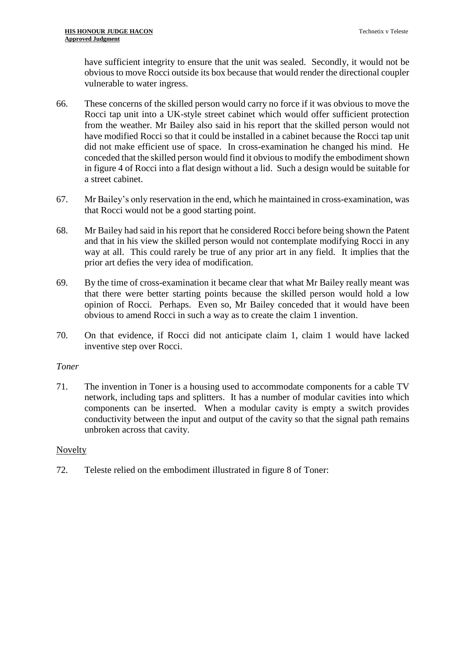have sufficient integrity to ensure that the unit was sealed. Secondly, it would not be obvious to move Rocci outside its box because that would render the directional coupler vulnerable to water ingress.

- 66. These concerns of the skilled person would carry no force if it was obvious to move the Rocci tap unit into a UK-style street cabinet which would offer sufficient protection from the weather. Mr Bailey also said in his report that the skilled person would not have modified Rocci so that it could be installed in a cabinet because the Rocci tap unit did not make efficient use of space. In cross-examination he changed his mind. He conceded that the skilled person would find it obvious to modify the embodiment shown in figure 4 of Rocci into a flat design without a lid. Such a design would be suitable for a street cabinet.
- 67. Mr Bailey's only reservation in the end, which he maintained in cross-examination, was that Rocci would not be a good starting point.
- 68. Mr Bailey had said in his report that he considered Rocci before being shown the Patent and that in his view the skilled person would not contemplate modifying Rocci in any way at all. This could rarely be true of any prior art in any field. It implies that the prior art defies the very idea of modification.
- 69. By the time of cross-examination it became clear that what Mr Bailey really meant was that there were better starting points because the skilled person would hold a low opinion of Rocci. Perhaps. Even so, Mr Bailey conceded that it would have been obvious to amend Rocci in such a way as to create the claim 1 invention.
- 70. On that evidence, if Rocci did not anticipate claim 1, claim 1 would have lacked inventive step over Rocci.

## *Toner*

71. The invention in Toner is a housing used to accommodate components for a cable TV network, including taps and splitters. It has a number of modular cavities into which components can be inserted. When a modular cavity is empty a switch provides conductivity between the input and output of the cavity so that the signal path remains unbroken across that cavity.

## Novelty

72. Teleste relied on the embodiment illustrated in figure 8 of Toner: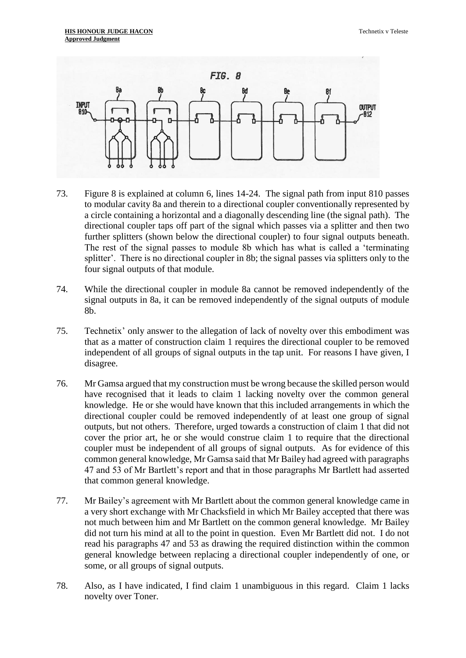

- 73. Figure 8 is explained at column 6, lines 14-24. The signal path from input 810 passes to modular cavity 8a and therein to a directional coupler conventionally represented by a circle containing a horizontal and a diagonally descending line (the signal path). The directional coupler taps off part of the signal which passes via a splitter and then two further splitters (shown below the directional coupler) to four signal outputs beneath. The rest of the signal passes to module 8b which has what is called a 'terminating splitter'. There is no directional coupler in 8b; the signal passes via splitters only to the four signal outputs of that module.
- 74. While the directional coupler in module 8a cannot be removed independently of the signal outputs in 8a, it can be removed independently of the signal outputs of module 8b.
- 75. Technetix' only answer to the allegation of lack of novelty over this embodiment was that as a matter of construction claim 1 requires the directional coupler to be removed independent of all groups of signal outputs in the tap unit. For reasons I have given, I disagree.
- 76. Mr Gamsa argued that my construction must be wrong because the skilled person would have recognised that it leads to claim 1 lacking novelty over the common general knowledge. He or she would have known that this included arrangements in which the directional coupler could be removed independently of at least one group of signal outputs, but not others. Therefore, urged towards a construction of claim 1 that did not cover the prior art, he or she would construe claim 1 to require that the directional coupler must be independent of all groups of signal outputs. As for evidence of this common general knowledge, Mr Gamsa said that Mr Bailey had agreed with paragraphs 47 and 53 of Mr Bartlett's report and that in those paragraphs Mr Bartlett had asserted that common general knowledge.
- 77. Mr Bailey's agreement with Mr Bartlett about the common general knowledge came in a very short exchange with Mr Chacksfield in which Mr Bailey accepted that there was not much between him and Mr Bartlett on the common general knowledge. Mr Bailey did not turn his mind at all to the point in question. Even Mr Bartlett did not. I do not read his paragraphs 47 and 53 as drawing the required distinction within the common general knowledge between replacing a directional coupler independently of one, or some, or all groups of signal outputs.
- 78. Also, as I have indicated, I find claim 1 unambiguous in this regard. Claim 1 lacks novelty over Toner.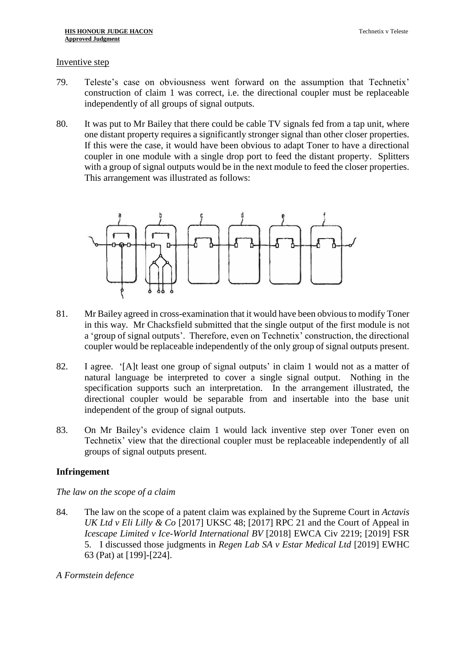#### Inventive step

- 79. Teleste's case on obviousness went forward on the assumption that Technetix' construction of claim 1 was correct, i.e. the directional coupler must be replaceable independently of all groups of signal outputs.
- 80. It was put to Mr Bailey that there could be cable TV signals fed from a tap unit, where one distant property requires a significantly stronger signal than other closer properties. If this were the case, it would have been obvious to adapt Toner to have a directional coupler in one module with a single drop port to feed the distant property. Splitters with a group of signal outputs would be in the next module to feed the closer properties. This arrangement was illustrated as follows:



- 81. Mr Bailey agreed in cross-examination that it would have been obvious to modify Toner in this way. Mr Chacksfield submitted that the single output of the first module is not a 'group of signal outputs'. Therefore, even on Technetix' construction, the directional coupler would be replaceable independently of the only group of signal outputs present.
- 82. I agree. '[A]t least one group of signal outputs' in claim 1 would not as a matter of natural language be interpreted to cover a single signal output. Nothing in the specification supports such an interpretation. In the arrangement illustrated, the directional coupler would be separable from and insertable into the base unit independent of the group of signal outputs.
- 83. On Mr Bailey's evidence claim 1 would lack inventive step over Toner even on Technetix' view that the directional coupler must be replaceable independently of all groups of signal outputs present.

## **Infringement**

*The law on the scope of a claim*

- 84. The law on the scope of a patent claim was explained by the Supreme Court in *Actavis UK Ltd v Eli Lilly & Co* [2017] UKSC 48; [2017] RPC 21 and the Court of Appeal in *Icescape Limited v Ice-World International BV* [2018] EWCA Civ 2219; [2019] FSR 5. I discussed those judgments in *Regen Lab SA v Estar Medical Ltd* [2019] EWHC 63 (Pat) at [199]-[224].
- *A Formstein defence*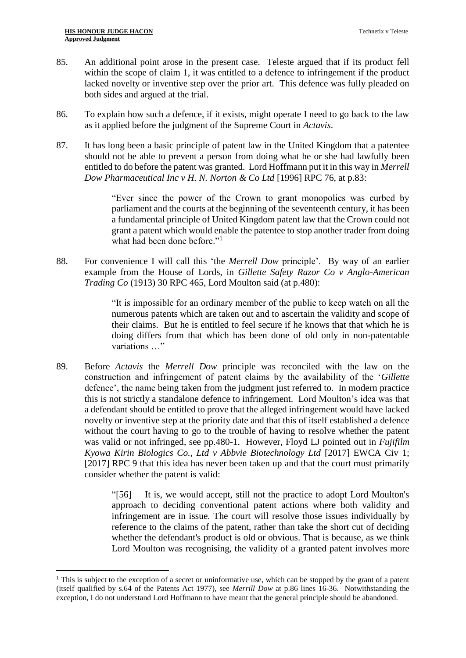1

- 85. An additional point arose in the present case. Teleste argued that if its product fell within the scope of claim 1, it was entitled to a defence to infringement if the product lacked novelty or inventive step over the prior art. This defence was fully pleaded on both sides and argued at the trial.
- 86. To explain how such a defence, if it exists, might operate I need to go back to the law as it applied before the judgment of the Supreme Court in *Actavis*.
- 87. It has long been a basic principle of patent law in the United Kingdom that a patentee should not be able to prevent a person from doing what he or she had lawfully been entitled to do before the patent was granted. Lord Hoffmann put it in this way in *Merrell Dow Pharmaceutical Inc v H. N. Norton & Co Ltd* [1996] RPC 76, at p.83:

"Ever since the power of the Crown to grant monopolies was curbed by parliament and the courts at the beginning of the seventeenth century, it has been a fundamental principle of United Kingdom patent law that the Crown could not grant a patent which would enable the patentee to stop another trader from doing what had been done before."<sup>1</sup>

88. For convenience I will call this 'the *Merrell Dow* principle'. By way of an earlier example from the House of Lords, in *Gillette Safety Razor Co v Anglo-American Trading Co* (1913) 30 RPC 465, Lord Moulton said (at p.480):

> "It is impossible for an ordinary member of the public to keep watch on all the numerous patents which are taken out and to ascertain the validity and scope of their claims. But he is entitled to feel secure if he knows that that which he is doing differs from that which has been done of old only in non-patentable variations …"

89. Before *Actavis* the *Merrell Dow* principle was reconciled with the law on the construction and infringement of patent claims by the availability of the '*Gillette*  defence', the name being taken from the judgment just referred to. In modern practice this is not strictly a standalone defence to infringement. Lord Moulton's idea was that a defendant should be entitled to prove that the alleged infringement would have lacked novelty or inventive step at the priority date and that this of itself established a defence without the court having to go to the trouble of having to resolve whether the patent was valid or not infringed, see pp.480-1. However, Floyd LJ pointed out in *Fujifilm Kyowa Kirin Biologics Co., Ltd v Abbvie Biotechnology Ltd* [2017] EWCA Civ 1; [2017] RPC 9 that this idea has never been taken up and that the court must primarily consider whether the patent is valid:

> "[56] It is, we would accept, still not the practice to adopt Lord Moulton's approach to deciding conventional patent actions where both validity and infringement are in issue. The court will resolve those issues individually by reference to the claims of the patent, rather than take the short cut of deciding whether the defendant's product is old or obvious. That is because, as we think Lord Moulton was recognising, the validity of a granted patent involves more

<sup>&</sup>lt;sup>1</sup> This is subject to the exception of a secret or uninformative use, which can be stopped by the grant of a patent (itself qualified by s.64 of the Patents Act 1977), see *Merrill Dow* at p.86 lines 16-36. Notwithstanding the exception, I do not understand Lord Hoffmann to have meant that the general principle should be abandoned.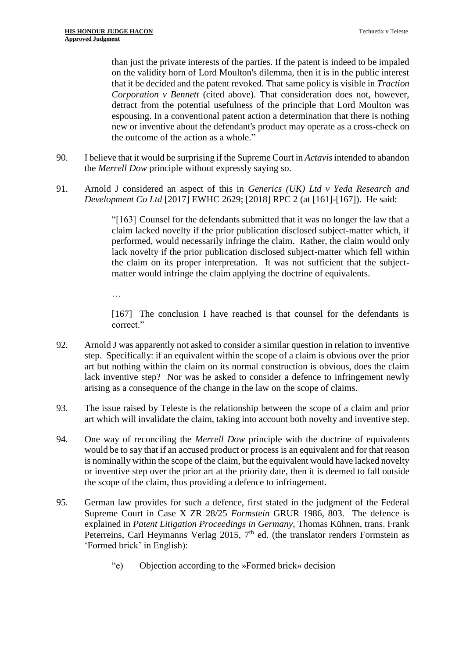than just the private interests of the parties. If the patent is indeed to be impaled on the validity horn of Lord Moulton's dilemma, then it is in the public interest that it be decided and the patent revoked. That same policy is visible in *Traction Corporation v Bennett* (cited above). That consideration does not, however, detract from the potential usefulness of the principle that Lord Moulton was espousing. In a conventional patent action a determination that there is nothing new or inventive about the defendant's product may operate as a cross-check on the outcome of the action as a whole."

- 90. I believe that it would be surprising if the Supreme Court in *Actavis* intended to abandon the *Merrell Dow* principle without expressly saying so.
- 91. Arnold J considered an aspect of this in *Generics (UK) Ltd v Yeda Research and Development Co Ltd* [2017] EWHC 2629; [2018] RPC 2 (at [161]-[167]). He said:

"[163] Counsel for the defendants submitted that it was no longer the law that a claim lacked novelty if the prior publication disclosed subject-matter which, if performed, would necessarily infringe the claim. Rather, the claim would only lack novelty if the prior publication disclosed subject-matter which fell within the claim on its proper interpretation. It was not sufficient that the subjectmatter would infringe the claim applying the doctrine of equivalents.

…

[167] The conclusion I have reached is that counsel for the defendants is correct."

- 92. Arnold J was apparently not asked to consider a similar question in relation to inventive step. Specifically: if an equivalent within the scope of a claim is obvious over the prior art but nothing within the claim on its normal construction is obvious, does the claim lack inventive step? Nor was he asked to consider a defence to infringement newly arising as a consequence of the change in the law on the scope of claims.
- 93. The issue raised by Teleste is the relationship between the scope of a claim and prior art which will invalidate the claim, taking into account both novelty and inventive step.
- 94. One way of reconciling the *Merrell Dow* principle with the doctrine of equivalents would be to say that if an accused product or process is an equivalent and for that reason is nominally within the scope of the claim, but the equivalent would have lacked novelty or inventive step over the prior art at the priority date, then it is deemed to fall outside the scope of the claim, thus providing a defence to infringement.
- 95. German law provides for such a defence, first stated in the judgment of the Federal Supreme Court in Case X ZR 28/25 *Formstein* GRUR 1986, 803. The defence is explained in *Patent Litigation Proceedings in Germany*, Thomas Kühnen, trans. Frank Peterreins, Carl Heymanns Verlag 2015,  $7<sup>th</sup>$  ed. (the translator renders Formstein as 'Formed brick' in English):
	- "e) Objection according to the »Formed brick« decision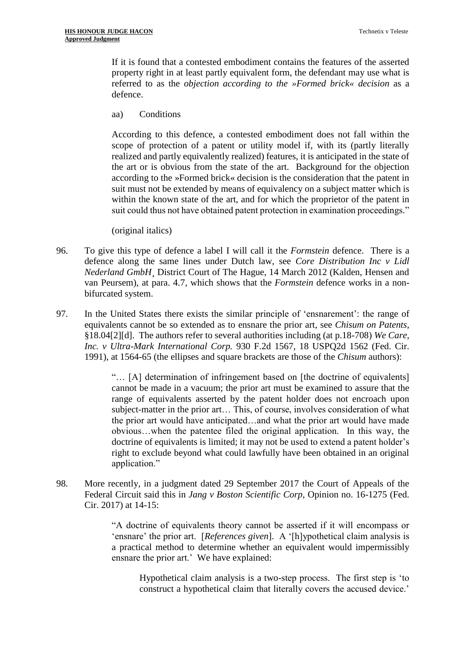If it is found that a contested embodiment contains the features of the asserted property right in at least partly equivalent form, the defendant may use what is referred to as the *objection according to the »Formed brick« decision* as a defence.

aa) Conditions

According to this defence, a contested embodiment does not fall within the scope of protection of a patent or utility model if, with its (partly literally realized and partly equivalently realized) features, it is anticipated in the state of the art or is obvious from the state of the art. Background for the objection according to the »Formed brick« decision is the consideration that the patent in suit must not be extended by means of equivalency on a subject matter which is within the known state of the art, and for which the proprietor of the patent in suit could thus not have obtained patent protection in examination proceedings."

(original italics)

- 96. To give this type of defence a label I will call it the *Formstein* defence. There is a defence along the same lines under Dutch law, see *Core Distribution Inc v Lidl Nederland GmbH¸* District Court of The Hague, 14 March 2012 (Kalden, Hensen and van Peursem), at para. 4.7, which shows that the *Formstein* defence works in a nonbifurcated system.
- 97. In the United States there exists the similar principle of 'ensnarement': the range of equivalents cannot be so extended as to ensnare the prior art, see *Chisum on Patents*, §18.04[2][d]. The authors refer to several authorities including (at p.18-708) *We Care, Inc. v Ultra-Mark International Corp.* 930 F.2d 1567, 18 USPQ2d 1562 (Fed. Cir. 1991), at 1564-65 (the ellipses and square brackets are those of the *Chisum* authors):

"… [A] determination of infringement based on [the doctrine of equivalents] cannot be made in a vacuum; the prior art must be examined to assure that the range of equivalents asserted by the patent holder does not encroach upon subject-matter in the prior art… This, of course, involves consideration of what the prior art would have anticipated…and what the prior art would have made obvious…when the patentee filed the original application. In this way, the doctrine of equivalents is limited; it may not be used to extend a patent holder's right to exclude beyond what could lawfully have been obtained in an original application."

98. More recently, in a judgment dated 29 September 2017 the Court of Appeals of the Federal Circuit said this in *Jang v Boston Scientific Corp*, Opinion no. 16-1275 (Fed. Cir. 2017) at 14-15:

> "A doctrine of equivalents theory cannot be asserted if it will encompass or 'ensnare' the prior art. [*References given*]. A '[h]ypothetical claim analysis is a practical method to determine whether an equivalent would impermissibly ensnare the prior art.' We have explained:

Hypothetical claim analysis is a two-step process. The first step is 'to construct a hypothetical claim that literally covers the accused device.'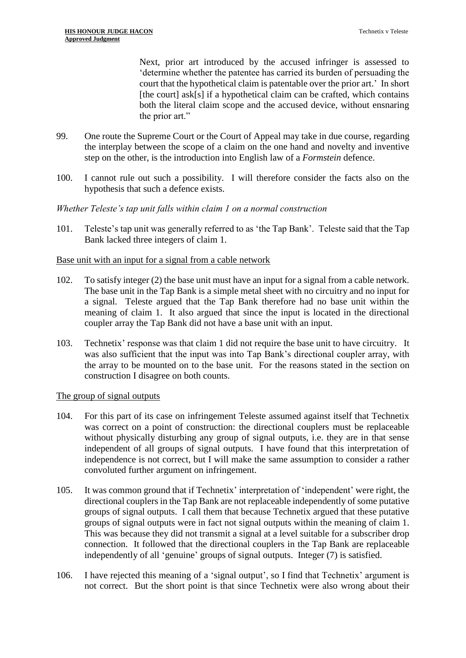Next, prior art introduced by the accused infringer is assessed to 'determine whether the patentee has carried its burden of persuading the court that the hypothetical claim is patentable over the prior art.' In short [the court] ask[s] if a hypothetical claim can be crafted, which contains both the literal claim scope and the accused device, without ensnaring the prior art."

- 99. One route the Supreme Court or the Court of Appeal may take in due course, regarding the interplay between the scope of a claim on the one hand and novelty and inventive step on the other, is the introduction into English law of a *Formstein* defence.
- 100. I cannot rule out such a possibility. I will therefore consider the facts also on the hypothesis that such a defence exists.

## *Whether Teleste's tap unit falls within claim 1 on a normal construction*

101. Teleste's tap unit was generally referred to as 'the Tap Bank'. Teleste said that the Tap Bank lacked three integers of claim 1.

## Base unit with an input for a signal from a cable network

- 102. To satisfy integer (2) the base unit must have an input for a signal from a cable network. The base unit in the Tap Bank is a simple metal sheet with no circuitry and no input for a signal. Teleste argued that the Tap Bank therefore had no base unit within the meaning of claim 1. It also argued that since the input is located in the directional coupler array the Tap Bank did not have a base unit with an input.
- 103. Technetix' response was that claim 1 did not require the base unit to have circuitry. It was also sufficient that the input was into Tap Bank's directional coupler array, with the array to be mounted on to the base unit. For the reasons stated in the section on construction I disagree on both counts.

## The group of signal outputs

- 104. For this part of its case on infringement Teleste assumed against itself that Technetix was correct on a point of construction: the directional couplers must be replaceable without physically disturbing any group of signal outputs, i.e. they are in that sense independent of all groups of signal outputs. I have found that this interpretation of independence is not correct, but I will make the same assumption to consider a rather convoluted further argument on infringement.
- 105. It was common ground that if Technetix' interpretation of 'independent' were right, the directional couplers in the Tap Bank are not replaceable independently of some putative groups of signal outputs. I call them that because Technetix argued that these putative groups of signal outputs were in fact not signal outputs within the meaning of claim 1. This was because they did not transmit a signal at a level suitable for a subscriber drop connection. It followed that the directional couplers in the Tap Bank are replaceable independently of all 'genuine' groups of signal outputs. Integer (7) is satisfied.
- 106. I have rejected this meaning of a 'signal output', so I find that Technetix' argument is not correct. But the short point is that since Technetix were also wrong about their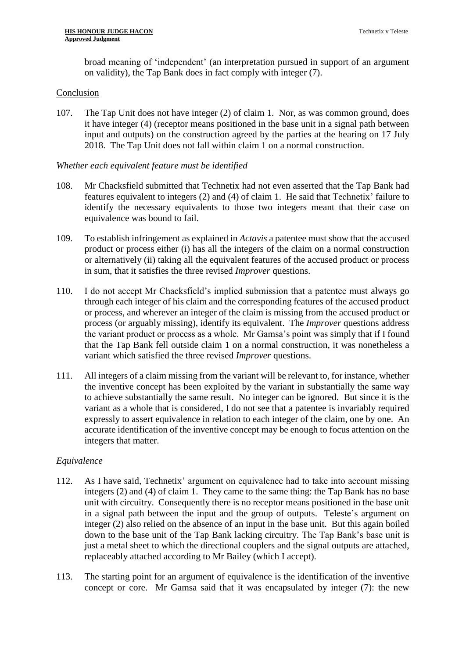broad meaning of 'independent' (an interpretation pursued in support of an argument on validity), the Tap Bank does in fact comply with integer (7).

## Conclusion

107. The Tap Unit does not have integer (2) of claim 1. Nor, as was common ground, does it have integer (4) (receptor means positioned in the base unit in a signal path between input and outputs) on the construction agreed by the parties at the hearing on 17 July 2018. The Tap Unit does not fall within claim 1 on a normal construction.

## *Whether each equivalent feature must be identified*

- 108. Mr Chacksfield submitted that Technetix had not even asserted that the Tap Bank had features equivalent to integers (2) and (4) of claim 1. He said that Technetix' failure to identify the necessary equivalents to those two integers meant that their case on equivalence was bound to fail.
- 109. To establish infringement as explained in *Actavis* a patentee must show that the accused product or process either (i) has all the integers of the claim on a normal construction or alternatively (ii) taking all the equivalent features of the accused product or process in sum, that it satisfies the three revised *Improver* questions.
- 110. I do not accept Mr Chacksfield's implied submission that a patentee must always go through each integer of his claim and the corresponding features of the accused product or process, and wherever an integer of the claim is missing from the accused product or process (or arguably missing), identify its equivalent. The *Improver* questions address the variant product or process as a whole. Mr Gamsa's point was simply that if I found that the Tap Bank fell outside claim 1 on a normal construction, it was nonetheless a variant which satisfied the three revised *Improver* questions.
- 111. All integers of a claim missing from the variant will be relevant to, for instance, whether the inventive concept has been exploited by the variant in substantially the same way to achieve substantially the same result. No integer can be ignored. But since it is the variant as a whole that is considered, I do not see that a patentee is invariably required expressly to assert equivalence in relation to each integer of the claim, one by one. An accurate identification of the inventive concept may be enough to focus attention on the integers that matter.

## *Equivalence*

- 112. As I have said, Technetix' argument on equivalence had to take into account missing integers (2) and (4) of claim 1. They came to the same thing: the Tap Bank has no base unit with circuitry. Consequently there is no receptor means positioned in the base unit in a signal path between the input and the group of outputs. Teleste's argument on integer (2) also relied on the absence of an input in the base unit. But this again boiled down to the base unit of the Tap Bank lacking circuitry. The Tap Bank's base unit is just a metal sheet to which the directional couplers and the signal outputs are attached, replaceably attached according to Mr Bailey (which I accept).
- 113. The starting point for an argument of equivalence is the identification of the inventive concept or core. Mr Gamsa said that it was encapsulated by integer (7): the new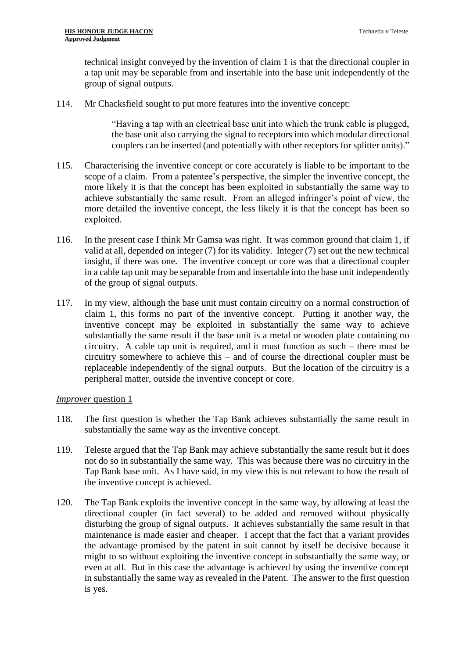technical insight conveyed by the invention of claim 1 is that the directional coupler in a tap unit may be separable from and insertable into the base unit independently of the group of signal outputs.

114. Mr Chacksfield sought to put more features into the inventive concept:

"Having a tap with an electrical base unit into which the trunk cable is plugged, the base unit also carrying the signal to receptors into which modular directional couplers can be inserted (and potentially with other receptors for splitter units)."

- 115. Characterising the inventive concept or core accurately is liable to be important to the scope of a claim. From a patentee's perspective, the simpler the inventive concept, the more likely it is that the concept has been exploited in substantially the same way to achieve substantially the same result. From an alleged infringer's point of view, the more detailed the inventive concept, the less likely it is that the concept has been so exploited.
- 116. In the present case I think Mr Gamsa was right. It was common ground that claim 1, if valid at all, depended on integer (7) for its validity. Integer (7) set out the new technical insight, if there was one. The inventive concept or core was that a directional coupler in a cable tap unit may be separable from and insertable into the base unit independently of the group of signal outputs.
- 117. In my view, although the base unit must contain circuitry on a normal construction of claim 1, this forms no part of the inventive concept. Putting it another way, the inventive concept may be exploited in substantially the same way to achieve substantially the same result if the base unit is a metal or wooden plate containing no circuitry. A cable tap unit is required, and it must function as such – there must be circuitry somewhere to achieve this – and of course the directional coupler must be replaceable independently of the signal outputs. But the location of the circuitry is a peripheral matter, outside the inventive concept or core.

## *Improver* question 1

- 118. The first question is whether the Tap Bank achieves substantially the same result in substantially the same way as the inventive concept.
- 119. Teleste argued that the Tap Bank may achieve substantially the same result but it does not do so in substantially the same way. This was because there was no circuitry in the Tap Bank base unit. As I have said, in my view this is not relevant to how the result of the inventive concept is achieved.
- 120. The Tap Bank exploits the inventive concept in the same way, by allowing at least the directional coupler (in fact several) to be added and removed without physically disturbing the group of signal outputs. It achieves substantially the same result in that maintenance is made easier and cheaper. I accept that the fact that a variant provides the advantage promised by the patent in suit cannot by itself be decisive because it might to so without exploiting the inventive concept in substantially the same way, or even at all. But in this case the advantage is achieved by using the inventive concept in substantially the same way as revealed in the Patent. The answer to the first question is yes.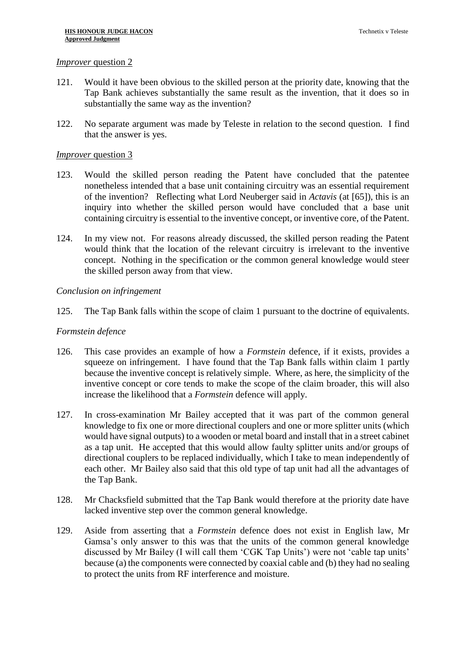#### *Improver* question 2

- 121. Would it have been obvious to the skilled person at the priority date, knowing that the Tap Bank achieves substantially the same result as the invention, that it does so in substantially the same way as the invention?
- 122. No separate argument was made by Teleste in relation to the second question. I find that the answer is yes.

#### *Improver* question 3

- 123. Would the skilled person reading the Patent have concluded that the patentee nonetheless intended that a base unit containing circuitry was an essential requirement of the invention? Reflecting what Lord Neuberger said in *Actavis* (at [65]), this is an inquiry into whether the skilled person would have concluded that a base unit containing circuitry is essential to the inventive concept, or inventive core, of the Patent.
- 124. In my view not. For reasons already discussed, the skilled person reading the Patent would think that the location of the relevant circuitry is irrelevant to the inventive concept. Nothing in the specification or the common general knowledge would steer the skilled person away from that view.

#### *Conclusion on infringement*

125. The Tap Bank falls within the scope of claim 1 pursuant to the doctrine of equivalents.

#### *Formstein defence*

- 126. This case provides an example of how a *Formstein* defence, if it exists, provides a squeeze on infringement. I have found that the Tap Bank falls within claim 1 partly because the inventive concept is relatively simple. Where, as here, the simplicity of the inventive concept or core tends to make the scope of the claim broader, this will also increase the likelihood that a *Formstein* defence will apply.
- 127. In cross-examination Mr Bailey accepted that it was part of the common general knowledge to fix one or more directional couplers and one or more splitter units (which would have signal outputs) to a wooden or metal board and install that in a street cabinet as a tap unit. He accepted that this would allow faulty splitter units and/or groups of directional couplers to be replaced individually, which I take to mean independently of each other. Mr Bailey also said that this old type of tap unit had all the advantages of the Tap Bank.
- 128. Mr Chacksfield submitted that the Tap Bank would therefore at the priority date have lacked inventive step over the common general knowledge.
- 129. Aside from asserting that a *Formstein* defence does not exist in English law, Mr Gamsa's only answer to this was that the units of the common general knowledge discussed by Mr Bailey (I will call them 'CGK Tap Units') were not 'cable tap units' because (a) the components were connected by coaxial cable and (b) they had no sealing to protect the units from RF interference and moisture.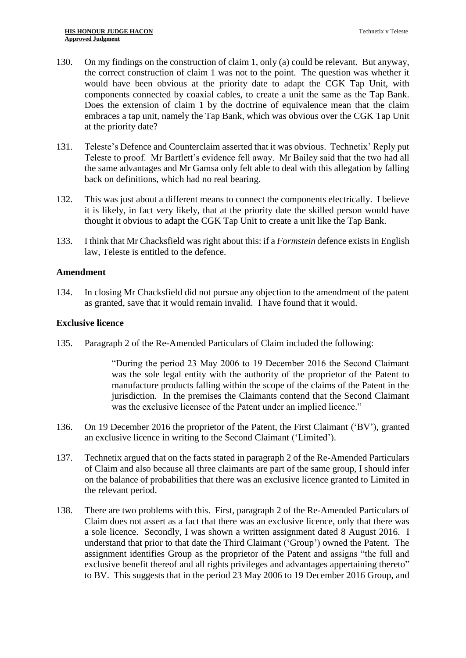- 130. On my findings on the construction of claim 1, only (a) could be relevant. But anyway, the correct construction of claim 1 was not to the point. The question was whether it would have been obvious at the priority date to adapt the CGK Tap Unit, with components connected by coaxial cables, to create a unit the same as the Tap Bank. Does the extension of claim 1 by the doctrine of equivalence mean that the claim embraces a tap unit, namely the Tap Bank, which was obvious over the CGK Tap Unit at the priority date?
- 131. Teleste's Defence and Counterclaim asserted that it was obvious. Technetix' Reply put Teleste to proof. Mr Bartlett's evidence fell away. Mr Bailey said that the two had all the same advantages and Mr Gamsa only felt able to deal with this allegation by falling back on definitions, which had no real bearing.
- 132. This was just about a different means to connect the components electrically. I believe it is likely, in fact very likely, that at the priority date the skilled person would have thought it obvious to adapt the CGK Tap Unit to create a unit like the Tap Bank.
- 133. I think that Mr Chacksfield was right about this: if a *Formstein* defence existsin English law, Teleste is entitled to the defence.

#### **Amendment**

134. In closing Mr Chacksfield did not pursue any objection to the amendment of the patent as granted, save that it would remain invalid. I have found that it would.

#### **Exclusive licence**

135. Paragraph 2 of the Re-Amended Particulars of Claim included the following:

"During the period 23 May 2006 to 19 December 2016 the Second Claimant was the sole legal entity with the authority of the proprietor of the Patent to manufacture products falling within the scope of the claims of the Patent in the jurisdiction. In the premises the Claimants contend that the Second Claimant was the exclusive licensee of the Patent under an implied licence."

- 136. On 19 December 2016 the proprietor of the Patent, the First Claimant ('BV'), granted an exclusive licence in writing to the Second Claimant ('Limited').
- 137. Technetix argued that on the facts stated in paragraph 2 of the Re-Amended Particulars of Claim and also because all three claimants are part of the same group, I should infer on the balance of probabilities that there was an exclusive licence granted to Limited in the relevant period.
- 138. There are two problems with this. First, paragraph 2 of the Re-Amended Particulars of Claim does not assert as a fact that there was an exclusive licence, only that there was a sole licence. Secondly, I was shown a written assignment dated 8 August 2016. I understand that prior to that date the Third Claimant ('Group') owned the Patent. The assignment identifies Group as the proprietor of the Patent and assigns "the full and exclusive benefit thereof and all rights privileges and advantages appertaining thereto" to BV. This suggests that in the period 23 May 2006 to 19 December 2016 Group, and